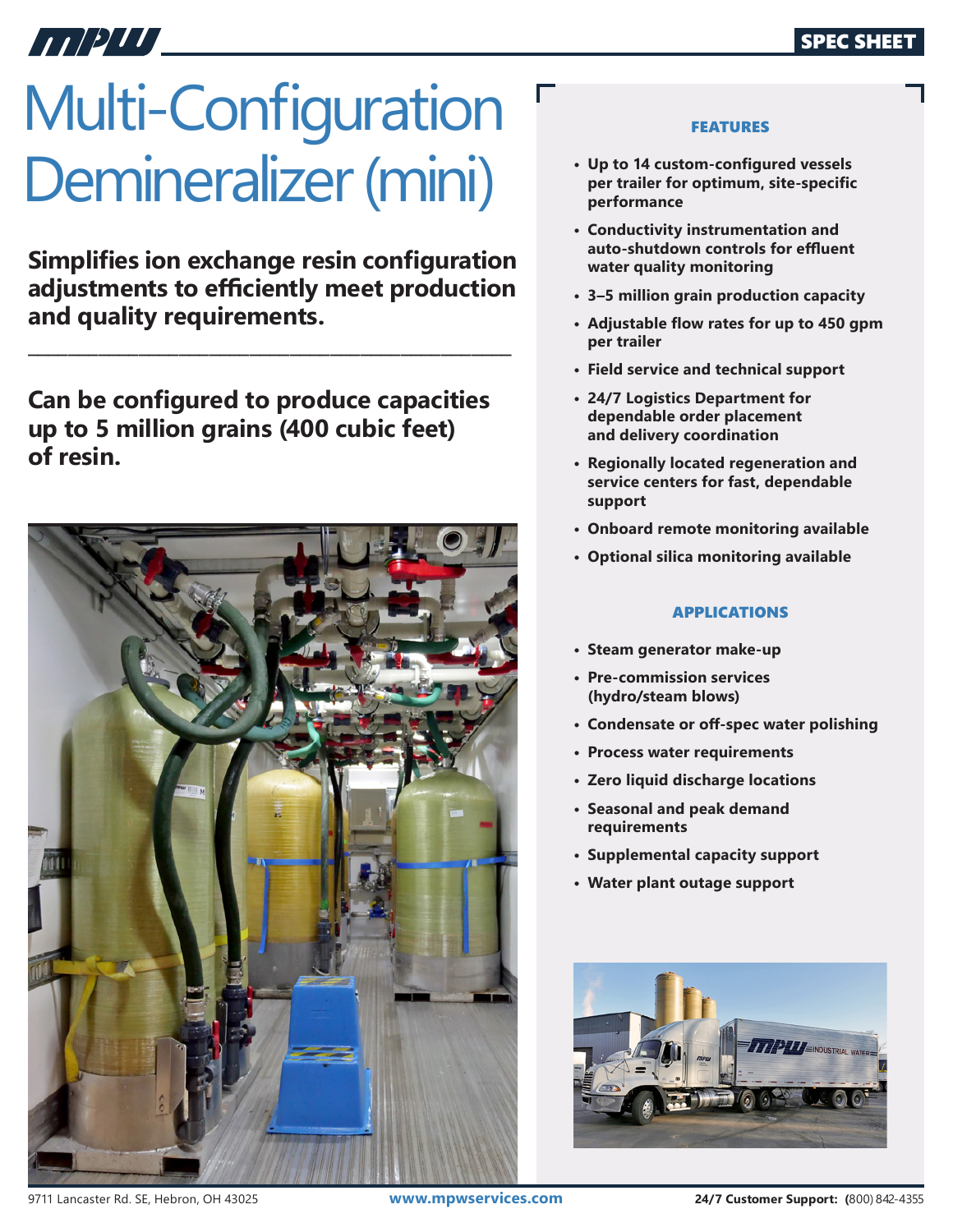# HET DITT

# Multi-Configuration Demineralizer (mini)

**Simplifies ion exchange resin configuration adjustments to efficiently meet production and quality requirements.**

**\_\_\_\_\_\_\_\_\_\_\_\_\_\_\_\_\_\_\_\_\_\_\_\_\_\_\_\_\_\_\_\_\_\_\_\_\_\_\_\_\_\_\_\_\_\_\_\_**

**Can be configured to produce capacities up to 5 million grains (400 cubic feet) of resin.**



### FEATURES

- **• Up to 14 custom-configured vessels per trailer for optimum, site-specific performance**
- **• Conductivity instrumentation and auto-shutdown controls for effluent water quality monitoring**
- **• 3–5 million grain production capacity**
- **• Adjustable flow rates for up to 450 gpm per trailer**
- **• Field service and technical support**
- **• 24/7 Logistics Department for dependable order placement and delivery coordination**
- **• Regionally located regeneration and service centers for fast, dependable support**
- **• Onboard remote monitoring available**
- **• Optional silica monitoring available**

## APPLICATIONS

- **• Steam generator make-up**
- **• Pre-commission services (hydro/steam blows)**
- **• Condensate or off-spec water polishing**
- **• Process water requirements**
- **• Zero liquid discharge locations**
- **• Seasonal and peak demand requirements**
- **• Supplemental capacity support**
- **• Water plant outage support**



9711 Lancaster Rd. SE, Hebron, OH 43025 **www.mpwservices.com 24/7 Customer Support: (**800) 842-4355